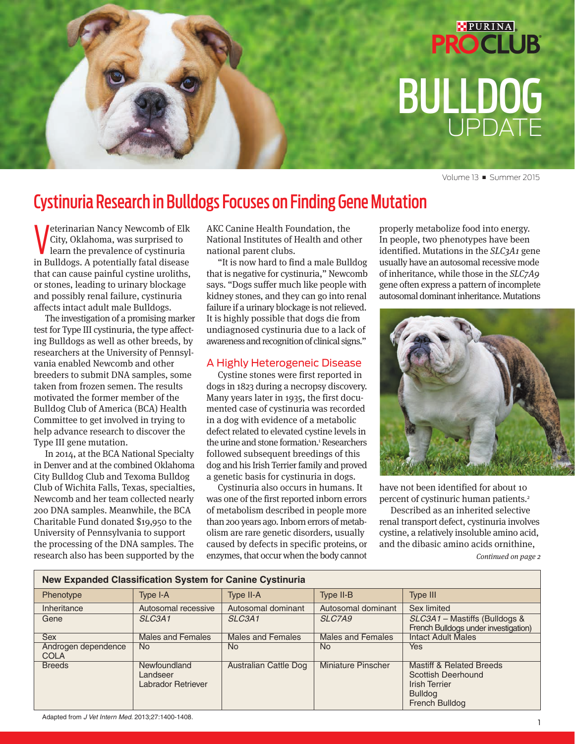# **PROCLUB** BULLDOG UPDATE

PURINA

Volume 13 **■** Summer 2015

### Cystinuria Research in Bulldogs Focuses on Finding Gene Mutation

**V** city, Oklahoma, was surprised to<br>learn the prevalence of cystinuria<br>in Bulldogs. A potentially fatal disease eterinarian Nancy Newcomb of Elk City, Oklahoma, was surprised to learn the prevalence of cystinuria that can cause painful cystine uroliths, or stones, leading to urinary blockage and possibly renal failure, cystinuria affects intact adult male Bulldogs.

The investigation of a promising marker test for Type III cystinuria, the type affecting Bulldogs as well as other breeds, by researchers at the University of Pennsylvania enabled Newcomb and other breeders to submit DNA samples, some taken from frozen semen. The results motivated the former member of the Bulldog Club of America (BCA) Health Committee to get involved in trying to help advance research to discover the Type III gene mutation.

In 2014, at the BCA National Specialty in Denver and at the combined Oklahoma City Bulldog Club and Texoma Bulldog Club of Wichita Falls, Texas, specialties, Newcomb and her team collected nearly 200 DNA samples. Meanwhile, the BCA Charitable Fund donated \$19,950 to the University of Pennsylvania to support the processing of the DNA samples. The research also has been supported by the

AKC Canine Health Foundation, the National Institutes of Health and other national parent clubs.

"It is now hard to find a male Bulldog that is negative for cystinuria," Newcomb says. "Dogs suffer much like people with kidney stones, and they can go into renal failure if a urinary blockage is not relieved. It is highly possible that dogs die from undiagnosed cystinuria due to a lack of awareness and recognition of clinical signs."

#### A Highly Heterogeneic Disease

Cystine stones were first reported in dogs in 1823 during a necropsy discovery. Many years later in 1935, the first documented case of cystinuria was recorded in a dog with evidence of a metabolic defect related to elevated cystine levels in the urine and stone formation.<sup>1</sup> Researchers followed subsequent breedings of this dog and his Irish Terrier family and proved a genetic basis for cystinuria in dogs.

Cystinuria also occurs in humans. It was one of the first reported inborn errors of metabolism described in people more than 200 years ago. Inborn errors of metabolism are rare genetic disorders, usually caused by defects in specific proteins, or enzymes, that occur when the body cannot properly metabolize food into energy. In people, two phenotypes have been identified. Mutations in the  $SLC<sub>3</sub>A<sub>1</sub>$  gene usually have an autosomal recessive mode of inheritance, while those in the SLC7A9 gene often express a pattern of incomplete autosomal dominant inheritance. Mutations



have not been identified for about 10 percent of cystinuric human patients.<sup>2</sup>

Described as an inherited selective renal transport defect, cystinuria involves cystine, a relatively insoluble amino acid, and the dibasic amino acids ornithine, Continued on page 2

| <b>New Expanded Classification System for Canine Cystinuria</b> |                                                       |                                 |                           |                                                                                                                              |
|-----------------------------------------------------------------|-------------------------------------------------------|---------------------------------|---------------------------|------------------------------------------------------------------------------------------------------------------------------|
| Phenotype                                                       | Type I-A                                              | Type II-A                       | Type II-B                 | Type III                                                                                                                     |
| Inheritance                                                     | Autosomal recessive                                   | Autosomal dominant              | Autosomal dominant        | Sex limited                                                                                                                  |
| Gene                                                            | SLC <sub>3</sub> A <sub>1</sub>                       | SLC <sub>3</sub> A <sub>1</sub> | SLC7A9                    | SLC3A1 - Mastiffs (Bulldogs &<br>French Bulldogs under investigation)                                                        |
| <b>Sex</b>                                                      | <b>Males and Females</b>                              | <b>Males and Females</b>        | <b>Males and Females</b>  | <b>Intact Adult Males</b>                                                                                                    |
| Androgen dependence<br><b>COLA</b>                              | No.                                                   | No.                             | <b>No</b>                 | <b>Yes</b>                                                                                                                   |
| <b>Breeds</b>                                                   | <b>Newfoundland</b><br>Landseer<br>Labrador Retriever | <b>Australian Cattle Dog</b>    | <b>Miniature Pinscher</b> | <b>Mastiff &amp; Related Breeds</b><br>Scottish Deerhound<br><b>Irish Terrier</b><br><b>Bulldog</b><br><b>French Bulldog</b> |

Adapted from *J Vet Intern Med*. 2013;27:1400-1408.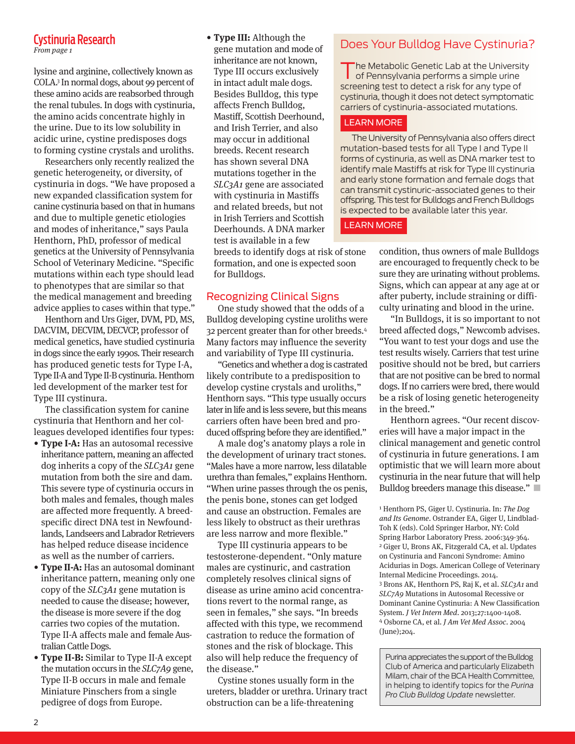### Cystinuria Research

lysine and arginine, collectively known as COLA.3 In normal dogs, about 99 percent of these amino acids are reabsorbed through the renal tubules. In dogs with cystinuria, the amino acids concentrate highly in the urine. Due to its low solubility in acidic urine, cystine predisposes dogs to forming cystine crystals and uroliths.

Researchers only recently realized the genetic heterogeneity, or diversity, of cystinuria in dogs. "We have proposed a new expanded classification system for canine cystinuria based on that in humans and due to multiple genetic etiologies and modes of inheritance," says Paula Henthorn, PhD, professor of medical genetics at the University of Pennsylvania School of Veterinary Medicine. "Specific mutations within each type should lead to phenotypes that are similar so that the medical management and breeding advice applies to cases within that type."

Henthorn and Urs Giger, DVM, PD, MS, DACVIM, DECVIM, DECVCP, professor of medical genetics, have studied cystinuria in dogs since the early 1990s. Their research has produced genetic tests for Type I-A, Type II-A and Type II-B cystinuria. Henthorn led development of the marker test for Type III cystinura.

The classification system for canine cystinuria that Henthorn and her colleagues developed identifies four types:

- **Type I-A:** Has an autosomal recessive inheritance pattern, meaning an affected dog inherits a copy of the *SLC3A1* gene mutation from both the sire and dam. This severe type of cystinuria occurs in both males and females, though males are affected more frequently. A breedspecific direct DNA test in Newfoundlands, Landseers and Labrador Retrievers has helped reduce disease incidence as well as the number of carriers.
- **Type II-A:** Has an autosomal dominant inheritance pattern, meaning only one copy of the  $SLC<sub>3</sub>A<sub>1</sub>$  gene mutation is needed to cause the disease; however, the disease is more severe if the dog carries two copies of the mutation. Type II-A affects male and female Australian Cattle Dogs.
- **Type II-B:** Similar to Type II-A except the mutation occurs in the SLC7A9 gene, Type II-B occurs in male and female Miniature Pinschers from a single pedigree of dogs from Europe.

• **Type III:** Although the gene mutation and mode of inheritance are not known, Type III occurs exclusively in intact adult male dogs. Besides Bulldog, this type affects French Bulldog, Mastiff, Scottish Deerhound, and Irish Terrier, and also may occur in additional breeds. Recent research has shown several DNA mutations together in the SLC3A1 gene are associated with cystinuria in Mastiffs and related breeds, but not in Irish Terriers and Scottish Deerhounds. A DNA marker test is available in a few

breeds to identify dogs at risk of stone formation, and one is expected soon for Bulldogs.

#### Recognizing Clinical Signs

One study showed that the odds of a Bulldog developing cystine uroliths were 32 percent greater than for other breeds.<sup>4</sup> Many factors may influence the severity and variability of Type III cystinuria.

"Genetics and whether a dog is castrated likely contribute to a predisposition to develop cystine crystals and uroliths," Henthorn says. "This type usually occurs later in life and is less severe, but this means carriers often have been bred and produced offspring before they are identified."

A male dog's anatomy plays a role in the development of urinary tract stones. "Males have a more narrow, less dilatable urethra than females," explains Henthorn. "When urine passes through the os penis, the penis bone, stones can get lodged and cause an obstruction. Females are less likely to obstruct as their urethras are less narrow and more flexible."

Type III cystinuria appears to be testosterone-dependent. "Only mature males are cystinuric, and castration completely resolves clinical signs of disease as urine amino acid concentrations revert to the normal range, as seen in females," she says. "In breeds affected with this type, we recommend castration to reduce the formation of stones and the risk of blockage. This also will help reduce the frequency of the disease."

Cystine stones usually form in the ureters, bladder or urethra. Urinary tract obstruction can be a life-threatening

### Does Your Bulldog Have Cystinuria?

The Metabolic Genetic Lab at the University of Pennsylvania performs a simple urine screening test to detect a risk for any type of cystinuria, though it does not detect symptomatic carriers of cystinuria-associated mutations.

#### [LEARN MORE](http://research.vet.upenn.edu/penngen?pennGenHome/tabid/01/Default.aspx)

The University of Pennsylvania also offers direct mutation-based tests for all Type I and Type II forms of cystinuria, as well as DNA marker test to identify male Mastiffs at risk for Type III cystinuria and early stone formation and female dogs that can transmit cystinuric-associated genes to their offspring. This test for Bulldogs and French Bulldogs is expected to be available later this year.

#### [LEARN MORE](http://research.vet.upenn.edu/WSAVA-LabSearch)

condition, thus owners of male Bulldogs are encouraged to frequently check to be sure they are urinating without problems. Signs, which can appear at any age at or after puberty, include straining or difficulty urinating and blood in the urine.

"In Bulldogs, it is so important to not breed affected dogs," Newcomb advises. "You want to test your dogs and use the test results wisely. Carriers that test urine positive should not be bred, but carriers that are not positive can be bred to normal dogs. If no carriers were bred, there would be a risk of losing genetic heterogeneity in the breed."

Henthorn agrees. "Our recent discoveries will have a major impact in the clinical management and genetic control of cystinuria in future generations. I am optimistic that we will learn more about cystinuria in the near future that will help Bulldog breeders manage this disease." **■**

<sup>1</sup> Henthorn PS, Giger U. Cystinuria. In: The Dog and Its Genome. Ostrander EA, Giger U, Lindblad-Toh K (eds). Cold Springer Harbor, NY: Cold Spring Harbor Laboratory Press. 2006:349-364. <sup>2</sup> Giger U, Brons AK, Fitzgerald CA, et al. Updates on Cystinuria and Fanconi Syndrome: Amino Acidurias in Dogs. American College of Veterinary Internal Medicine Proceedings. 2014. <sup>3</sup> Brons AK, Henthorn PS, Raj K, et al. SLC3A1 and SLC7A9 Mutations in Autosomal Recessive or Dominant Canine Cystinuria: A New Classification System. J Vet Intern Med. 2013;27:1400-1408. <sup>4</sup> Osborne CA, et al. J Am Vet Med Assoc. 2004 (June);204.

Purina appreciates the support of the Bulldog Club of America and particularly Elizabeth Milam, chair of the BCA Health Committee, in helping to identify topics for the *Purina Pro Club Bulldog Update* newsletter.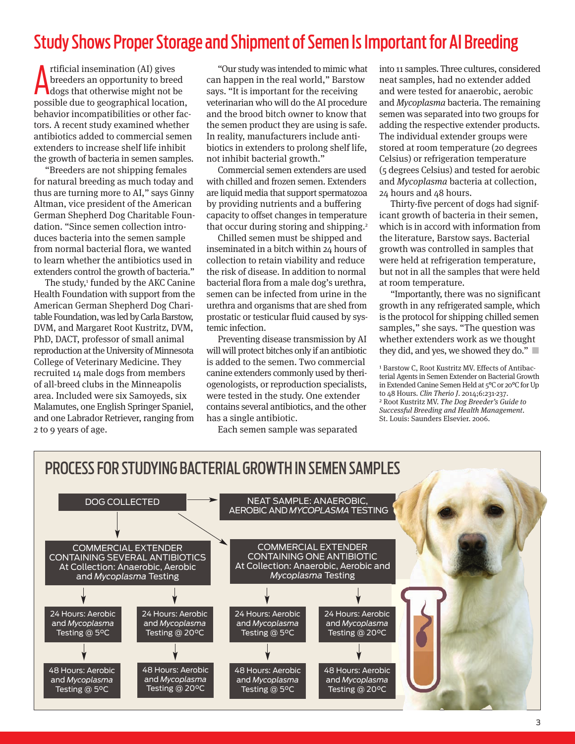### Study Shows Proper Storage and Shipment of Semen Is Important for AI Breeding

tificial insemination (AI) gives<br>breeders an opportunity to breed<br>dogs that otherwise might not be<br>proceeded to the comparabical location rtificial insemination (AI) gives breeders an opportunity to breed possible due to geographical location, behavior incompatibilities or other factors. A recent study examined whether antibiotics added to commercial semen extenders to increase shelf life inhibit the growth of bacteria in semen samples.

"Breeders are not shipping females for natural breeding as much today and thus are turning more to AI," says Ginny Altman, vice president of the American German Shepherd Dog Charitable Foundation. "Since semen collection introduces bacteria into the semen sample from normal bacterial flora, we wanted to learn whether the antibiotics used in extenders control the growth of bacteria."

The study,<sup>1</sup> funded by the AKC Canine Health Foundation with support from the American German Shepherd Dog Charitable Foundation, was led by Carla Barstow, DVM, and Margaret Root Kustritz, DVM, PhD, DACT, professor of small animal reproduction at the University of Minnesota College of Veterinary Medicine. They recruited 14 male dogs from members of all-breed clubs in the Minneapolis area. Included were six Samoyeds, six Malamutes, one English Springer Spaniel, and one Labrador Retriever, ranging from 2 to 9 years of age.

"Our study was intended to mimic what can happen in the real world," Barstow says. "It is important for the receiving veterinarian who will do the AI procedure and the brood bitch owner to know that the semen product they are using is safe. In reality, manufacturers include antibiotics in extenders to prolong shelf life, not inhibit bacterial growth."

Commercial semen extenders are used with chilled and frozen semen. Extenders are liquid media that support spermatozoa by providing nutrients and a buffering capacity to offset changes in temperature that occur during storing and shipping.<sup>2</sup>

Chilled semen must be shipped and inseminated in a bitch within 24 hours of collection to retain viability and reduce the risk of disease. In addition to normal bacterial flora from a male dog's urethra, semen can be infected from urine in the urethra and organisms that are shed from prostatic or testicular fluid caused by systemic infection.

Preventing disease transmission by AI will will protect bitches only if an antibiotic is added to the semen. Two commercial canine extenders commonly used by theriogenologists, or reproduction specialists, were tested in the study. One extender contains several antibiotics, and the other has a single antibiotic.

Each semen sample was separated

into 11 samples. Three cultures, considered neat samples, had no extender added and were tested for anaerobic, aerobic and Mycoplasma bacteria. The remaining semen was separated into two groups for adding the respective extender products. The individual extender groups were stored at room temperature (20 degrees Celsius) or refrigeration temperature (5 degrees Celsius) and tested for aerobic and Mycoplasma bacteria at collection, 24 hours and 48 hours.

Thirty-five percent of dogs had significant growth of bacteria in their semen, which is in accord with information from the literature, Barstow says. Bacterial growth was controlled in samples that were held at refrigeration temperature, but not in all the samples that were held at room temperature.

"Importantly, there was no significant growth in any refrigerated sample, which is the protocol for shipping chilled semen samples," she says. "The question was whether extenders work as we thought they did, and yes, we showed they do." **■**

<sup>1</sup> Barstow C, Root Kustritz MV. Effects of Antibacterial Agents in Semen Extender on Bacterial Growth in Extended Canine Semen Held at 5°C or 20°C for Up to 48 Hours. Clin Therio J. 2014;6:231-237. <sup>2</sup> Root Kustritz MV. The Dog Breeder's Guide to Successful Breeding and Health Management. St. Louis: Saunders Elsevier. 2006.